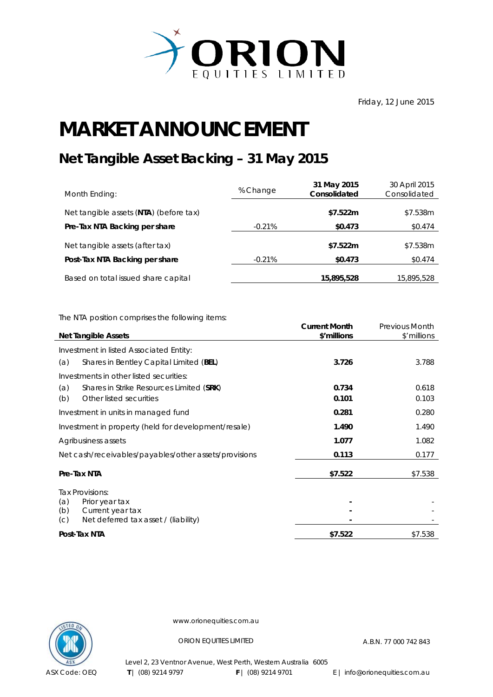

## **MARKET ANNOUNCEMENT**

## **Net Tangible Asset Backing – 31 May 2015**

| Month Ending:                          | % Change | 31 May 2015<br>Consolidated | 30 April 2015<br>Consolidated |
|----------------------------------------|----------|-----------------------------|-------------------------------|
| Net tangible assets (NTA) (before tax) |          | \$7.522m                    | \$7.538m                      |
| Pre-Tax NTA Backing per share          | $-0.21%$ | \$0.473                     | \$0.474                       |
| Net tangible assets (after tax)        |          | \$7.522m                    | \$7.538m                      |
| Post-Tax NTA Backing per share         | $-0.21%$ | \$0.473                     | \$0.474                       |
| Based on total issued share capital    |          | 15,895,528                  | 15,895,528                    |

The NTA position comprises the following items:

| <b>Net Tangible Assets</b>                                             | <b>Current Month</b><br>\$'millions | <b>Previous Month</b><br>\$'millions |
|------------------------------------------------------------------------|-------------------------------------|--------------------------------------|
| Investment in listed Associated Entity:                                |                                     |                                      |
| Shares in Bentley Capital Limited (BEL)<br>(a)                         | 3.726                               | 3.788                                |
| Investments in other listed securities:                                |                                     |                                      |
| Shares in Strike Resources Limited (SRK)<br>(a)                        | 0.734                               | 0.618                                |
| Other listed securities<br>(b)                                         | 0.101                               | 0.103                                |
| Investment in units in managed fund                                    | 0.281                               | 0.280                                |
| Investment in property (held for development/resale)                   | 1.490                               | 1.490                                |
| Agribusiness assets                                                    | 1.077                               | 1.082                                |
| Net cash/receivables/payables/other assets/provisions                  | 0.113                               | 0.177                                |
| Pre-Tax NTA                                                            | \$7.522                             | \$7.538                              |
| Tax Provisions:                                                        |                                     |                                      |
| (a)<br>Prior year tax                                                  |                                     |                                      |
| Current year tax<br>(b)<br>Net deferred tax asset / (liability)<br>(C) |                                     |                                      |
| Post-Tax NTA                                                           | \$7.522                             | \$7.538                              |



www.orionequities.com.au

ORION EQUITIES LIMITED A.B.N. 77 000 742 843

Level 2, 23 Ventnor Avenue, West Perth, Western Australia 6005  **T** | (08) 9214 9797 **F** | (08) 9214 9701 E | info@orionequities.com.au